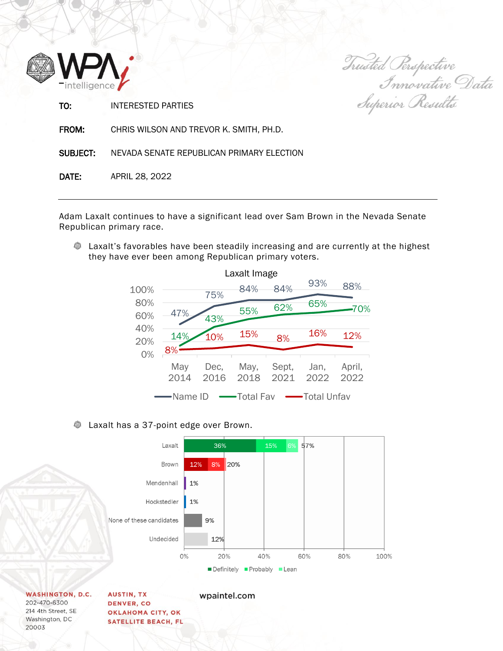

Trusted Perspective<br>Innovative Data<br>Superior Results

TO: INTERESTED PARTIES

FROM: CHRIS WILSON AND TREVOR K. SMITH, PH.D.

SUBJECT: NEVADA SENATE REPUBLICAN PRIMARY ELECTION

DATE: APRIL 28, 2022

Adam Laxalt continues to have a significant lead over Sam Brown in the Nevada Senate Republican primary race.

**EXALUM** Laxalt's favorables have been steadily increasing and are currently at the highest they have ever been among Republican primary voters.



## **EXECUTE:** Laxalt has a 37-point edge over Brown.



**WASHINGTON, D.C.** 202-470-6300 214 4th Street, SE Washington, DC 20003

**AUSTIN, TX DENVER, CO** OKLAHOMA CITY, OK **SATELLITE BEACH, FL**  wpaintel.com